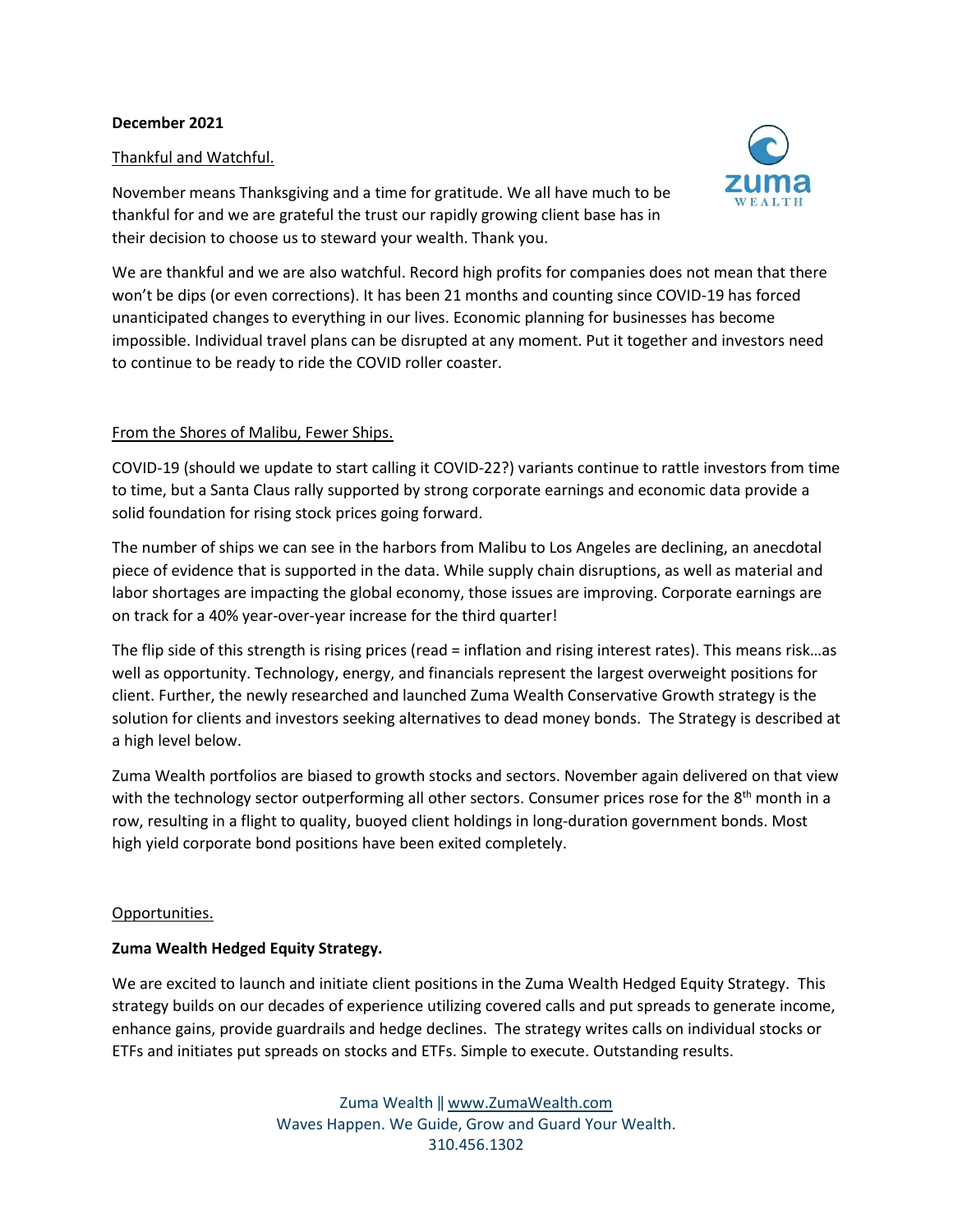#### **December 2021**

# Thankful and Watchful.

November means Thanksgiving and a time for gratitude. We all have much to be thankful for and we are grateful the trust our rapidly growing client base has in their decision to choose us to steward your wealth. Thank you.



We are thankful and we are also watchful. Record high profits for companies does not mean that there won't be dips (or even corrections). It has been 21 months and counting since COVID-19 has forced unanticipated changes to everything in our lives. Economic planning for businesses has become impossible. Individual travel plans can be disrupted at any moment. Put it together and investors need to continue to be ready to ride the COVID roller coaster.

# From the Shores of Malibu, Fewer Ships.

COVID-19 (should we update to start calling it COVID-22?) variants continue to rattle investors from time to time, but a Santa Claus rally supported by strong corporate earnings and economic data provide a solid foundation for rising stock prices going forward.

The number of ships we can see in the harbors from Malibu to Los Angeles are declining, an anecdotal piece of evidence that is supported in the data. While supply chain disruptions, as well as material and labor shortages are impacting the global economy, those issues are improving. Corporate earnings are on track for a 40% year-over-year increase for the third quarter!

The flip side of this strength is rising prices (read = inflation and rising interest rates). This means risk…as well as opportunity. Technology, energy, and financials represent the largest overweight positions for client. Further, the newly researched and launched Zuma Wealth Conservative Growth strategy is the solution for clients and investors seeking alternatives to dead money bonds. The Strategy is described at a high level below.

Zuma Wealth portfolios are biased to growth stocks and sectors. November again delivered on that view with the technology sector outperforming all other sectors. Consumer prices rose for the 8<sup>th</sup> month in a row, resulting in a flight to quality, buoyed client holdings in long-duration government bonds. Most high yield corporate bond positions have been exited completely.

## Opportunities.

## **Zuma Wealth Hedged Equity Strategy.**

We are excited to launch and initiate client positions in the Zuma Wealth Hedged Equity Strategy. This strategy builds on our decades of experience utilizing covered calls and put spreads to generate income, enhance gains, provide guardrails and hedge declines. The strategy writes calls on individual stocks or ETFs and initiates put spreads on stocks and ETFs. Simple to execute. Outstanding results.

> Zuma Wealth ‖ [www.ZumaWealth.com](http://www.zumawealth.com/) Waves Happen. We Guide, Grow and Guard Your Wealth. 310.456.1302